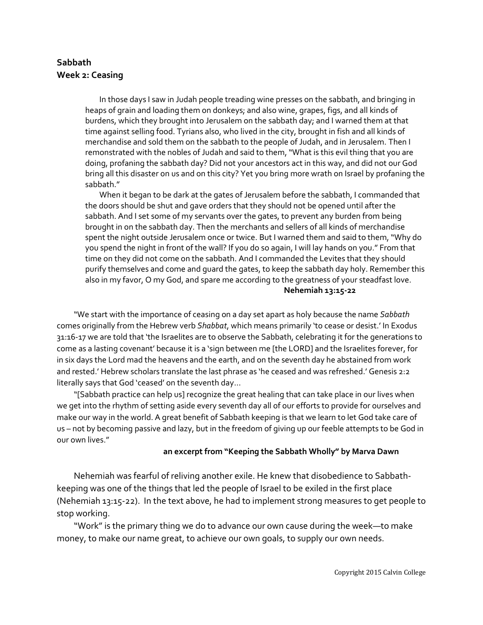## **Sabbath Week 2: Ceasing**

In those days I saw in Judah people treading wine presses on the sabbath, and bringing in heaps of grain and loading them on donkeys; and also wine, grapes, figs, and all kinds of burdens, which they brought into Jerusalem on the sabbath day; and I warned them at that time against selling food. Tyrians also, who lived in the city, brought in fish and all kinds of merchandise and sold them on the sabbath to the people of Judah, and in Jerusalem. Then I remonstrated with the nobles of Judah and said to them, "What is this evil thing that you are doing, profaning the sabbath day? Did not your ancestors act in this way, and did not our God bring all this disaster on us and on this city? Yet you bring more wrath on Israel by profaning the sabbath."

When it began to be dark at the gates of Jerusalem before the sabbath, I commanded that the doors should be shut and gave orders that they should not be opened until after the sabbath. And I set some of my servants over the gates, to prevent any burden from being brought in on the sabbath day. Then the merchants and sellers of all kinds of merchandise spent the night outside Jerusalem once or twice. But I warned them and said to them, "Why do you spend the night in front of the wall? If you do so again, I will lay hands on you." From that time on they did not come on the sabbath. And I commanded the Levites that they should purify themselves and come and guard the gates, to keep the sabbath day holy. Remember this also in my favor, O my God, and spare me according to the greatness of your steadfast love. **Nehemiah 13:15-22** 

"We start with the importance of ceasing on a day set apart as holy because the name *Sabbath* comes originally from the Hebrew verb *Shabbat*, which means primarily 'to cease or desist.' In Exodus 31:16-17 we are told that 'the Israelites are to observe the Sabbath, celebrating it for the generations to come as a lasting covenant' because it is a 'sign between me [the LORD] and the Israelites forever, for in six days the Lord mad the heavens and the earth, and on the seventh day he abstained from work and rested.' Hebrew scholars translate the last phrase as 'he ceased and was refreshed.' Genesis 2:2 literally says that God 'ceased' on the seventh day…

"[Sabbath practice can help us] recognize the great healing that can take place in our lives when we get into the rhythm of setting aside every seventh day all of our efforts to provide for ourselves and make our way in the world. A great benefit of Sabbath keeping is that we learn to let God take care of us – not by becoming passive and lazy, but in the freedom of giving up our feeble attempts to be God in our own lives."

## **an excerpt from "Keeping the Sabbath Wholly" by Marva Dawn**

Nehemiah was fearful of reliving another exile. He knew that disobedience to Sabbathkeeping was one of the things that led the people of Israel to be exiled in the first place (Nehemiah 13:15-22). In the text above, he had to implement strong measures to get people to stop working.

"Work" is the primary thing we do to advance our own cause during the week—to make money, to make our name great, to achieve our own goals, to supply our own needs.